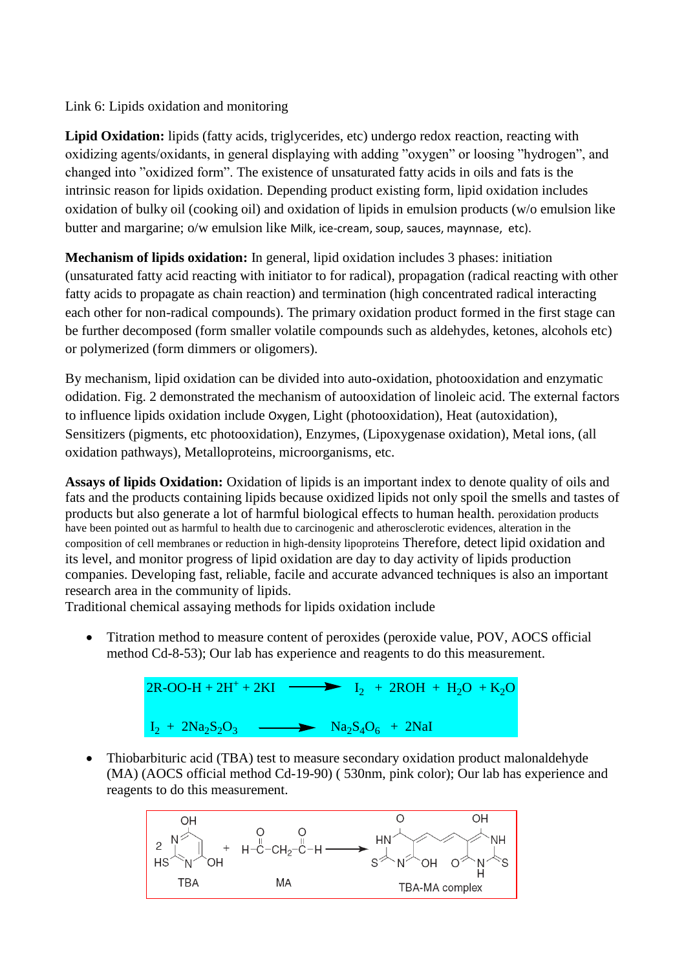Link 6: Lipids oxidation and monitoring

Lipid Oxidation: lipids (fatty acids, triglycerides, etc) undergo redox reaction, reacting with oxidizing agents/oxidants, in general displaying with adding "oxygen" or loosing "hydrogen", and changed into "oxidized form". The existence of unsaturated fatty acids in oils and fats is the intrinsic reason for lipids oxidation. Depending product existing form, lipid oxidation includes oxidation of bulky oil (cooking oil) and oxidation of lipids in emulsion products (w/o emulsion like butter and margarine; o/w emulsion like Milk, ice-cream, soup, sauces, maynnase, etc).

**Mechanism of lipids oxidation:** In general, lipid oxidation includes 3 phases: initiation (unsaturated fatty acid reacting with initiator to for radical), propagation (radical reacting with other fatty acids to propagate as chain reaction) and termination (high concentrated radical interacting each other for non-radical compounds). The primary oxidation product formed in the first stage can be further decomposed (form smaller volatile compounds such as aldehydes, ketones, alcohols etc) or polymerized (form dimmers or oligomers).

By mechanism, lipid oxidation can be divided into auto-oxidation, photooxidation and enzymatic odidation. Fig. 2 demonstrated the mechanism of autooxidation of linoleic acid. The external factors to influence lipids oxidation include Oxygen, Light (photooxidation), Heat (autoxidation), Sensitizers (pigments, etc photooxidation), Enzymes, (Lipoxygenase oxidation), Metal ions, (all oxidation pathways), Metalloproteins, microorganisms, etc.

**Assays of lipids Oxidation:** Oxidation of lipids is an important index to denote quality of oils and fats and the products containing lipids because oxidized lipids not only spoil the smells and tastes of products but also generate a lot of harmful biological effects to human health. peroxidation products have been pointed out as harmful to health due to carcinogenic and atherosclerotic evidences, alteration in the composition of cell membranes or reduction in high-density lipoproteins Therefore, detect lipid oxidation and its level, and monitor progress of lipid oxidation are day to day activity of lipids production companies. Developing fast, reliable, facile and accurate advanced techniques is also an important research area in the community of lipids.

Traditional chemical assaying methods for lipids oxidation include

• Titration method to measure content of peroxides (peroxide value, POV, AOCS official method Cd-8-53); Our lab has experience and reagents to do this measurement.

> $2R-OO-H + 2H^{+} + 2KI$  $\blacktriangleright$  I<sub>2</sub> + 2ROH + H<sub>2</sub>O + K<sub>2</sub>O  $I_2$  + 2Na<sub>2</sub>S<sub>2</sub>O<sub>3</sub>  $\longrightarrow$  Na<sub>2</sub>S<sub>4</sub>O<sub>6</sub> + 2NaI

• Thiobarbituric acid (TBA) test to measure secondary oxidation product malonaldehyde (MA) (AOCS official method Cd-19-90) ( 530nm, pink color); Our lab has experience and reagents to do this measurement.

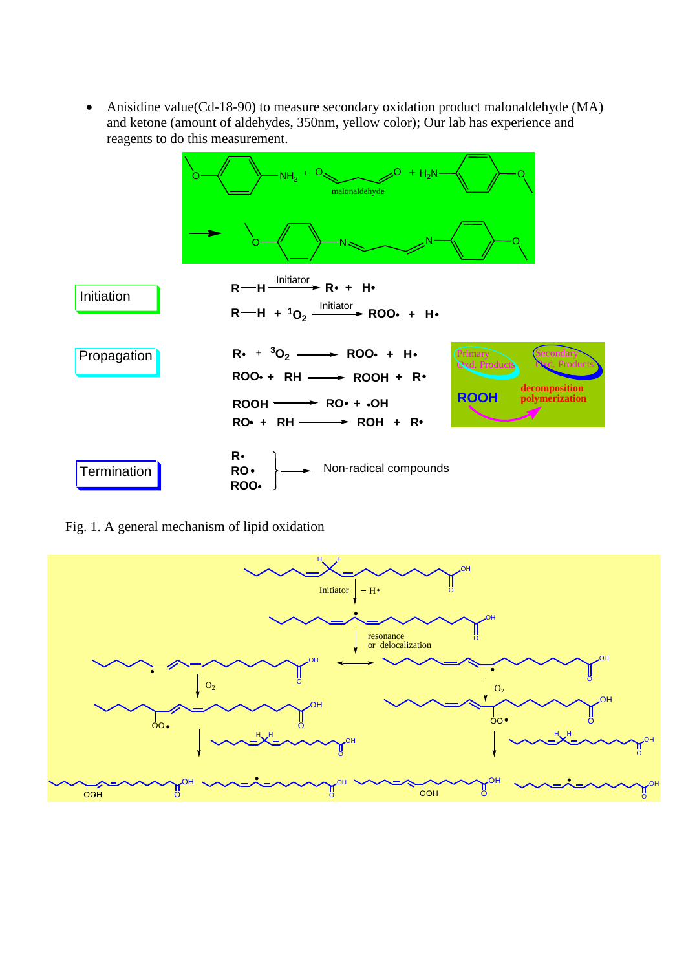Anisidine value(Cd-18-90) to measure secondary oxidation product malonaldehyde (MA) and ketone (amount of aldehydes, 350nm, yellow color); Our lab has experience and reagents to do this measurement.



Fig. 1. A general mechanism of lipid oxidation

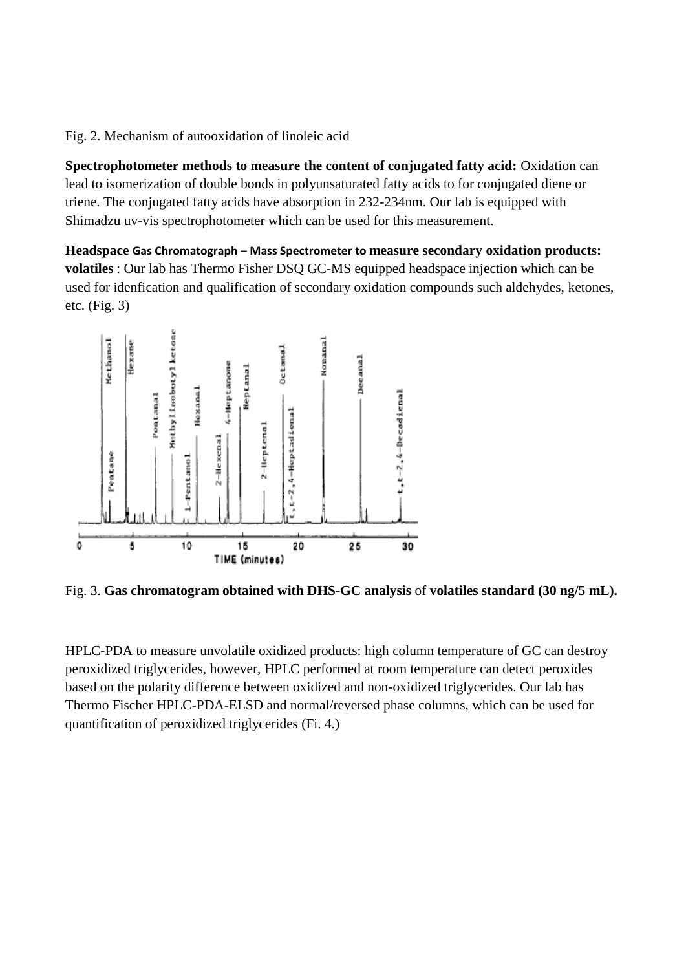Fig. 2. Mechanism of autooxidation of linoleic acid

**Spectrophotometer methods to measure the content of conjugated fatty acid:** Oxidation can lead to isomerization of double bonds in polyunsaturated fatty acids to for conjugated diene or triene. The conjugated fatty acids have absorption in 232-234nm. Our lab is equipped with Shimadzu uv-vis spectrophotometer which can be used for this measurement.

**Headspace Gas Chromatograph – Mass Spectrometer to measure secondary oxidation products: volatiles** : Our lab has Thermo Fisher DSQ GC-MS equipped headspace injection which can be used for idenfication and qualification of secondary oxidation compounds such aldehydes, ketones, etc. (Fig. 3)



Fig. 3. **Gas chromatogram obtained with DHS-GC analysis** of **volatiles standard (30 ng/5 mL).**

HPLC-PDA to measure unvolatile oxidized products: high column temperature of GC can destroy peroxidized triglycerides, however, HPLC performed at room temperature can detect peroxides based on the polarity difference between oxidized and non-oxidized triglycerides. Our lab has Thermo Fischer HPLC-PDA-ELSD and normal/reversed phase columns, which can be used for quantification of peroxidized triglycerides (Fi. 4.)